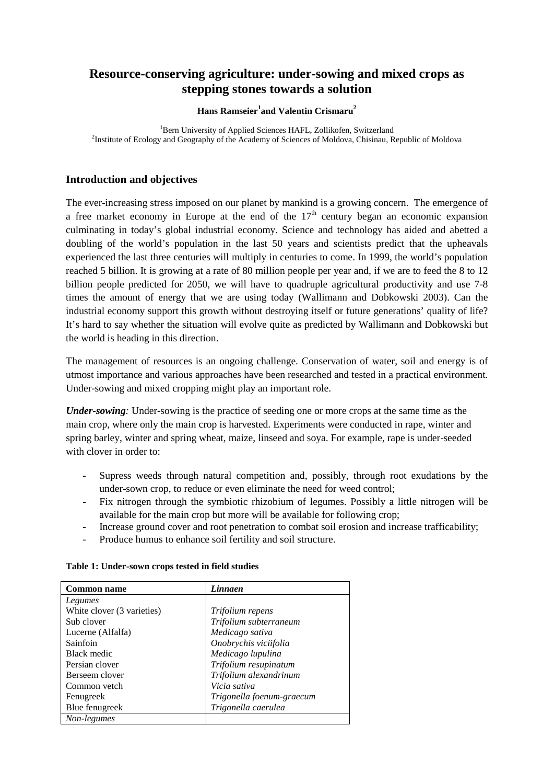# **Resource-conserving agriculture: under-sowing and mixed crops as stepping stones towards a solution**

### **Hans Ramseier**<sup>1</sup> and Valentin Crismaru<sup>2</sup>

<sup>1</sup>Bern University of Applied Sciences HAFL, Zollikofen, Switzerland Bern University of Applied Sciences HAFL, Zollikofen, Switzerland <sup>2</sup> Institute of Ecology and Geography of the Academy of Sciences of Moldova, Chisinau, Republic of Moldova

# **Introduction and objectives**

The ever-increasing stress imposed on our planet by mankind is a growing concern. The emergence of a free market economy in Europe at the end of the  $17<sup>th</sup>$  century began an economic expansion culminating in today's global industrial economy. Science and technology has aided and abetted a doubling of the world's population in the last 50 years and scientists predict that the upheavals experienced the last three centuries will multiply in centuries to come. In 1999, the world's population reached 5 billion. It is growing at a rate of 80 million people per year and, if we are to feed the 8 to 12 billion people predicted for 2050, we will have to quadruple agricultural productivity and use 7-8 times the amount of energy that we are using today (Wallimann and Dobkowski 2003). Can the industrial economy support this growth without destroying itself or future generations' quality of life? It's hard to say whether the situation will evolve quite as predicted by Wallimann and Dobkowski but the world is heading in this direction.

The management of resources is an ongoing challenge. Conservation of water, soil and energy is of utmost importance and various approaches have been researched and tested in a practical environment. Under-sowing and mixed cropping might play an important role.

*Under-sowing:* Under-sowing is the practice of seeding one or more crops at the same time as the main crop, where only the main crop is harvested. Experiments were conducted in rape, winter and spring barley, winter and spring wheat, maize, linseed and soya. For example, rape is under-seeded with clover in order to:

- Supress weeds through natural competition and, possibly, through root exudations by the under-sown crop, to reduce or even eliminate the need for weed control;
- Fix nitrogen through the symbiotic rhizobium of legumes. Possibly a little nitrogen will be available for the main crop but more will be available for following crop;
- Increase ground cover and root penetration to combat soil erosion and increase trafficability;
- Produce humus to enhance soil fertility and soil structure.

| <b>Common name</b>         | Linnaen                   |
|----------------------------|---------------------------|
| Legumes                    |                           |
| White clover (3 varieties) | Trifolium repens          |
| Sub clover                 | Trifolium subterraneum    |
| Lucerne (Alfalfa)          | Medicago sativa           |
| Sainfoin                   | Onobrychis viciifolia     |
| Black medic                | Medicago lupulina         |
| Persian clover             | Trifolium resupinatum     |
| Berseem clover             | Trifolium alexandrinum    |
| Common yetch               | Vicia sativa              |
| Fenugreek                  | Trigonella foenum-graecum |
| Blue fenugreek             | Trigonella caerulea       |
| Non-legumes                |                           |

**Table 1: Under-sown crops tested in field studies**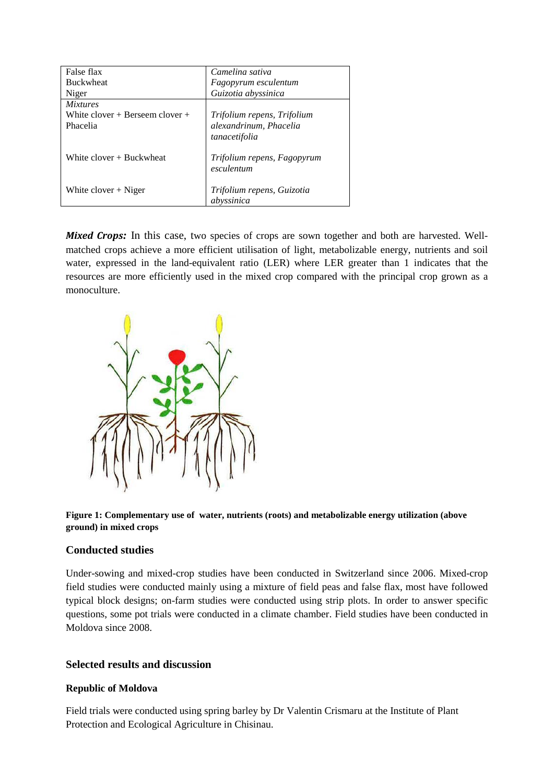| False flax                          | Camelina sativa             |
|-------------------------------------|-----------------------------|
| <b>Buckwheat</b>                    | Fagopyrum esculentum        |
| Niger                               | Guizotia abyssinica         |
| <i>Mixtures</i>                     |                             |
| White clover $+$ Berseem clover $+$ | Trifolium repens, Trifolium |
| Phacelia                            | alexandrinum, Phacelia      |
|                                     | tanacetifolia               |
|                                     |                             |
| White clover $+$ Buckwheat          | Trifolium repens, Fagopyrum |
|                                     | esculentum                  |
|                                     |                             |
| White clover $+$ Niger              | Trifolium repens, Guizotia  |
|                                     | abyssinica                  |

*Mixed Crops*: In this case, two species of crops are sown together and both are harvested. Wellmatched crops achieve a more efficient utilisation of light, metabolizable energy, nutrients and soil water, expressed in the land-equivalent ratio (LER) where LER greater than 1 indicates that the resources are more efficiently used in the mixed crop compared with the principal crop grown as a monoculture.



# **Figure 1: Complementary use of water, nutrients (roots) and metabolizable energy utilization (above ground) in mixed crops**

# **Conducted studies**

Under-sowing and mixed-crop studies have been conducted in Switzerland since 2006. Mixed-crop field studies were conducted mainly using a mixture of field peas and false flax, most have followed typical block designs; on-farm studies were conducted using strip plots. In order to answer specific questions, some pot trials were conducted in a climate chamber. Field studies have been conducted in Moldova since 2008.

# **Selected results and discussion**

# **Republic of Moldova**

Field trials were conducted using spring barley by Dr Valentin Crismaru at the Institute of Plant Protection and Ecological Agriculture in Chisinau.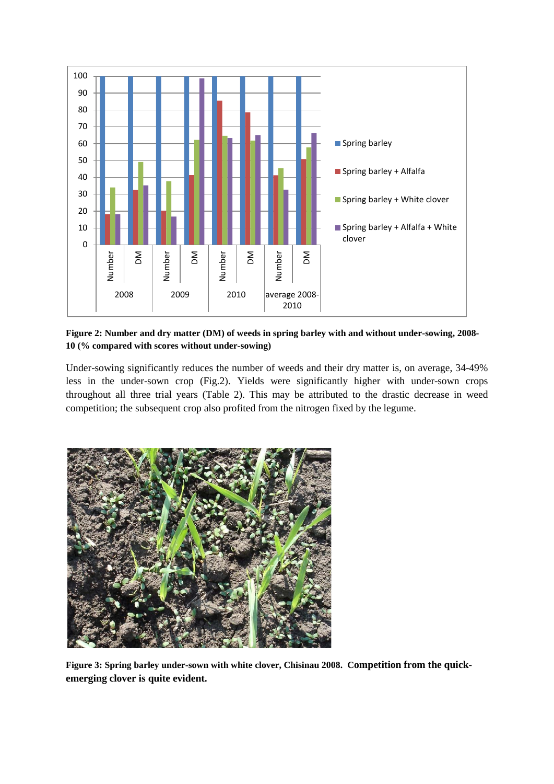

**Figure 2: Number and dry matter (DM) of weeds in spring barley with and without under-sowing, 2008- 10 (% compared with scores without under-sowing)**

Under-sowing significantly reduces the number of weeds and their dry matter is, on average, 34-49% less in the under-sown crop (Fig.2). Yields were significantly higher with under-sown crops throughout all three trial years (Table 2). This may be attributed to the drastic decrease in weed competition; the subsequent crop also profited from the nitrogen fixed by the legume.



**Figure 3: Spring barley under-sown with white clover, Chisinau 2008. Competition from the quickemerging clover is quite evident.**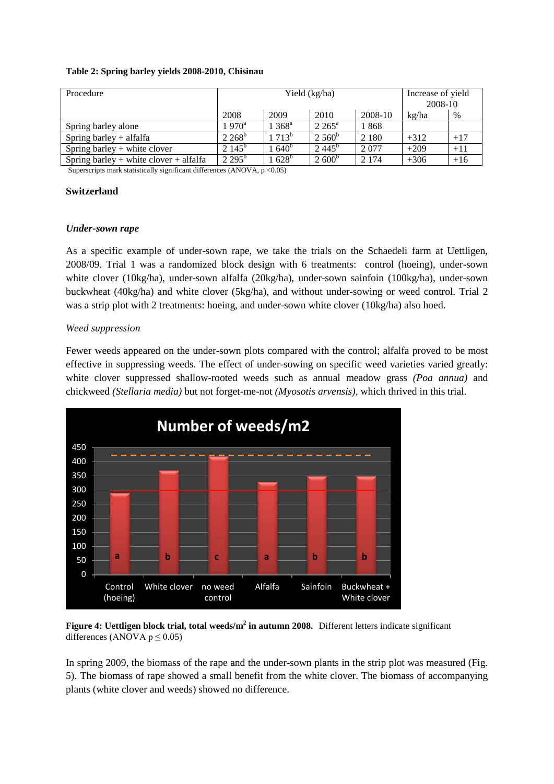#### **Table 2: Spring barley yields 2008-2010, Chisinau**

| Procedure                              | Yield (kg/ha)   |                  |                 |         | Increase of yield<br>2008-10 |       |
|----------------------------------------|-----------------|------------------|-----------------|---------|------------------------------|-------|
|                                        | 2008            | 2009             | 2010            | 2008-10 | kg/ha                        | %     |
| Spring barley alone                    | $1970^{\rm a}$  | $1.368^{\rm a}$  | $2.265^{\circ}$ | 1868    |                              |       |
| Spring barley $+$ alfalfa              | $2.268^b$       | $1713^b$         | $2.560^{b}$     | 2 1 8 0 | $+312$                       | $+17$ |
| Spring barley $+$ white clover         | $2.145^b$       | $1\,640^{\rm b}$ | $2.445^{b}$     | 2077    | $+209$                       | $+11$ |
| Spring barley + white clover + alfalfa | $2.295^{\rm b}$ | $1\;628^{\rm b}$ | $2600^{\rm b}$  | 2 1 7 4 | $+306$                       | $+16$ |

Superscripts mark statistically significant differences (ANOVA,  $p \le 0.05$ )

### **Switzerland**

#### *Under-sown rape*

As a specific example of under-sown rape, we take the trials on the Schaedeli farm at Uettligen, 2008/09. Trial 1 was a randomized block design with 6 treatments: control (hoeing), under-sown white clover (10kg/ha), under-sown alfalfa (20kg/ha), under-sown sainfoin (100kg/ha), under-sown buckwheat (40kg/ha) and white clover (5kg/ha), and without under-sowing or weed control. Trial 2 was a strip plot with 2 treatments: hoeing, and under-sown white clover (10kg/ha) also hoed.

### *Weed suppression*

Fewer weeds appeared on the under-sown plots compared with the control; alfalfa proved to be most effective in suppressing weeds. The effect of under-sowing on specific weed varieties varied greatly: white clover suppressed shallow-rooted weeds such as annual meadow grass *(Poa annua)* and chickweed *(Stellaria media)* but not forget-me-not *(Myosotis arvensis)*, which thrived in this trial.



**Figure 4: Uettligen block trial, total weeds/m2 in autumn 2008.** Different letters indicate significant differences (ANOVA  $p \le 0.05$ )

In spring 2009, the biomass of the rape and the under-sown plants in the strip plot was measured (Fig. 5). The biomass of rape showed a small benefit from the white clover. The biomass of accompanying plants (white clover and weeds) showed no difference.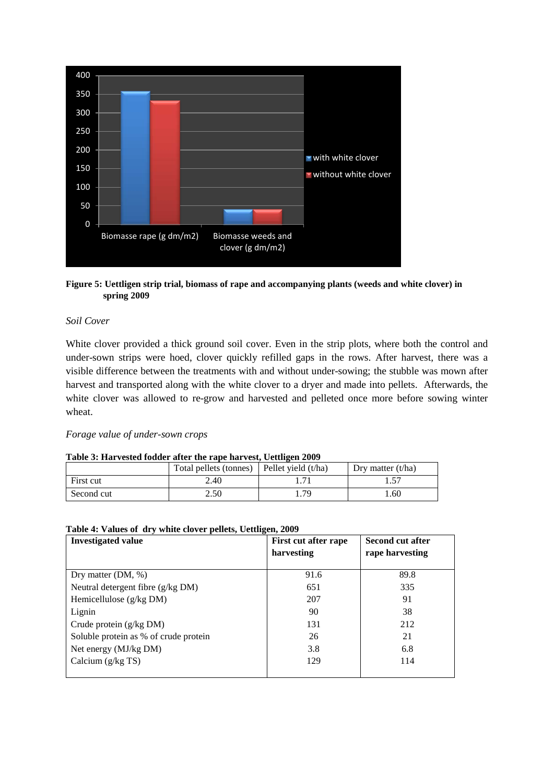

**Figure 5: Uettligen strip trial, biomass of rape and accompanying plants (weeds and white clover) in spring 2009**

# *Soil Cover*

White clover provided a thick ground soil cover. Even in the strip plots, where both the control and under-sown strips were hoed, clover quickly refilled gaps in the rows. After harvest, there was a visible difference between the treatments with and without under-sowing; the stubble was mown after harvest and transported along with the white clover to a dryer and made into pellets. Afterwards, the white clover was allowed to re-grow and harvested and pelleted once more before sowing winter wheat.

### *Forage value of under-sown crops*

### **Table 3: Harvested fodder after the rape harvest, Uettligen 2009**

|            | Total pellets (tonnes)   Pellet yield $(t/ha)$ |    | Dry matter $(t/ha)$ |
|------------|------------------------------------------------|----|---------------------|
| First cut  | 2.40                                           |    |                     |
| Second cut | 2.50                                           | 79 | . .60               |

### **Table 4: Values of dry white clover pellets, Uettligen, 2009**

| <b>Investigated value</b>             | <b>First cut after rape</b> | <b>Second cut after</b> |
|---------------------------------------|-----------------------------|-------------------------|
|                                       | harvesting                  | rape harvesting         |
|                                       |                             |                         |
| Dry matter $(DM, %)$                  | 91.6                        | 89.8                    |
| Neutral detergent fibre (g/kg DM)     | 651                         | 335                     |
| Hemicellulose (g/kg DM)               | 207                         | 91                      |
| Lignin                                | 90                          | 38                      |
| Crude protein $(g/kg DM)$             | 131                         | 212                     |
| Soluble protein as % of crude protein | 26                          | 21                      |
| Net energy (MJ/kg DM)                 | 3.8                         | 6.8                     |
| Calcium $(g/kg \text{TS})$            | 129                         | 114                     |
|                                       |                             |                         |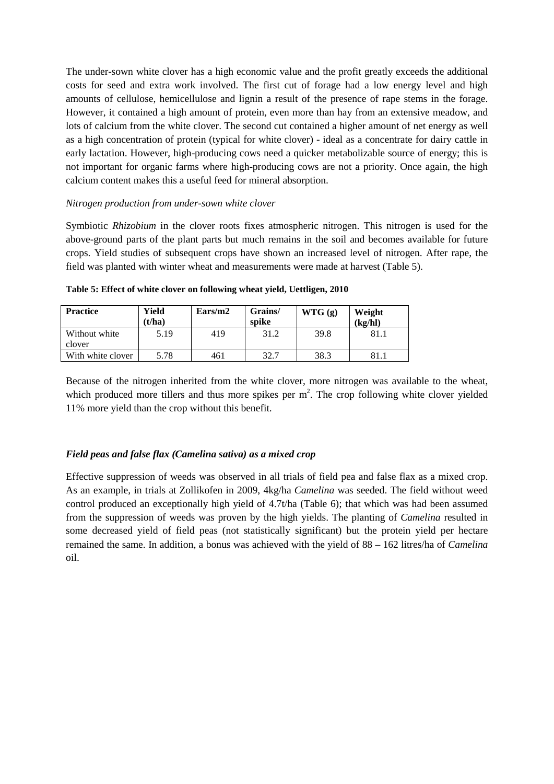The under-sown white clover has a high economic value and the profit greatly exceeds the additional costs for seed and extra work involved. The first cut of forage had a low energy level and high amounts of cellulose, hemicellulose and lignin a result of the presence of rape stems in the forage. However, it contained a high amount of protein, even more than hay from an extensive meadow, and lots of calcium from the white clover. The second cut contained a higher amount of net energy as well as a high concentration of protein (typical for white clover) - ideal as a concentrate for dairy cattle in early lactation. However, high-producing cows need a quicker metabolizable source of energy; this is not important for organic farms where high-producing cows are not a priority. Once again, the high calcium content makes this a useful feed for mineral absorption.

### *Nitrogen production from under-sown white clover*

Symbiotic *Rhizobium* in the clover roots fixes atmospheric nitrogen. This nitrogen is used for the above-ground parts of the plant parts but much remains in the soil and becomes available for future crops. Yield studies of subsequent crops have shown an increased level of nitrogen. After rape, the field was planted with winter wheat and measurements were made at harvest (Table 5).

| <b>Practice</b>         | Yield<br>(t/ha) | $\text{Ears}/\text{m2}$ | Grains/<br>spike | WTG(g) | Weight<br>(kg/hl) |
|-------------------------|-----------------|-------------------------|------------------|--------|-------------------|
| Without white<br>clover | 5.19            | 419                     | 31.2             | 39.8   | 81.1              |
| With white clover       | 5.78            | 461                     | 32.7             | 38.3   | 81.1              |

**Table 5: Effect of white clover on following wheat yield, Uettligen, 2010**

Because of the nitrogen inherited from the white clover, more nitrogen was available to the wheat, which produced more tillers and thus more spikes per  $m<sup>2</sup>$ . The crop following white clover yielded 11% more yield than the crop without this benefit.

### *Field peas and false flax (Camelina sativa) as a mixed crop*

Effective suppression of weeds was observed in all trials of field pea and false flax as a mixed crop. As an example, in trials at Zollikofen in 2009, 4kg/ha *Camelina* was seeded. The field without weed control produced an exceptionally high yield of 4.7t/ha (Table 6); that which was had been assumed from the suppression of weeds was proven by the high yields. The planting of *Camelina* resulted in some decreased yield of field peas (not statistically significant) but the protein yield per hectare remained the same. In addition, a bonus was achieved with the yield of 88 – 162 litres/ha of *Camelina* oil.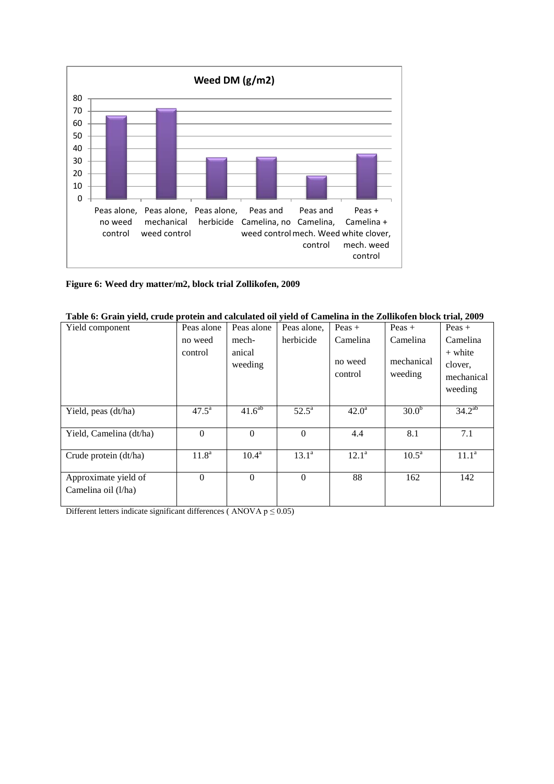

**Figure 6: Weed dry matter/m2, block trial Zollikofen, 2009**

| Table 6: Grain yield, crude protein and calculated oil yield of Camelina in the Zollikofen block trial, 2009 |  |  |
|--------------------------------------------------------------------------------------------------------------|--|--|
|                                                                                                              |  |  |

| Yield component                             | Peas alone        | Peas alone         | Peas alone,    | $Pear +$           | $Pear +$              | $Peas +$                                      |
|---------------------------------------------|-------------------|--------------------|----------------|--------------------|-----------------------|-----------------------------------------------|
|                                             | no weed           | mech-              | herbicide      | Camelina           | Camelina              | Camelina                                      |
|                                             | control           | anical<br>weeding  |                | no weed<br>control | mechanical<br>weeding | $+$ white<br>clover.<br>mechanical<br>weeding |
|                                             |                   |                    |                |                    |                       |                                               |
| Yield, peas (dt/ha)                         | $47.5^{\circ}$    | 41.6 <sup>ab</sup> | $52.5^{\circ}$ | $42.0^{\rm a}$     | 30.0 <sup>b</sup>     | $34.\overline{2^{ab}}$                        |
| Yield, Camelina (dt/ha)                     | $\Omega$          | $\Omega$           | $\Omega$       | 4.4                | 8.1                   | 7.1                                           |
| Crude protein (dt/ha)                       | 11.8 <sup>a</sup> | $10.4^{\rm a}$     | $13.1^a$       | $12.1^a$           | 10.5 <sup>a</sup>     | $11.1^a$                                      |
| Approximate yield of<br>Camelina oil (l/ha) | $\Omega$          | $\Omega$           | $\Omega$       | 88                 | 162                   | 142                                           |

Different letters indicate significant differences (ANOVA  $p \le 0.05$ )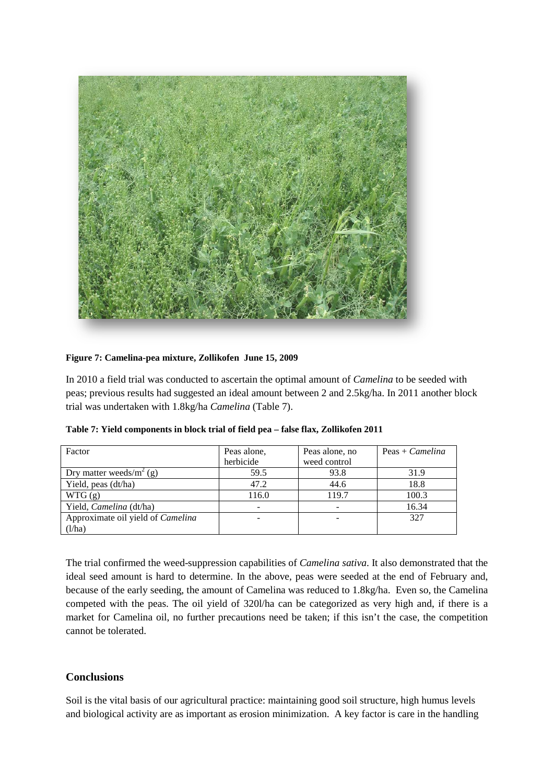

# **Figure 7: Camelina-pea mixture, Zollikofen June 15, 2009**

In 2010 a field trial was conducted to ascertain the optimal amount of *Camelina* to be seeded with peas; previous results had suggested an ideal amount between 2 and 2.5kg/ha. In 2011 another block trial was undertaken with 1.8kg/ha *Camelina* (Table 7).

|  | Table 7: Yield components in block trial of field pea – false flax, Zollikofen 2011 |  |  |  |
|--|-------------------------------------------------------------------------------------|--|--|--|

| Factor                            | Peas alone, | Peas alone, no | $Peas + Camelina$ |
|-----------------------------------|-------------|----------------|-------------------|
|                                   | herbicide   | weed control   |                   |
| Dry matter weeds/ $m^2$ (g)       | 59.5        | 93.8           | 31.9              |
| Yield, peas (dt/ha)               | 47.2        | 44.6           | 18.8              |
| WTG(g)                            | 116.0       | 119.7          | 100.3             |
| Yield, Camelina (dt/ha)           |             |                | 16.34             |
| Approximate oil yield of Camelina |             |                | 327               |
| (l/ha)                            |             |                |                   |

The trial confirmed the weed-suppression capabilities of *Camelina sativa*. It also demonstrated that the ideal seed amount is hard to determine. In the above, peas were seeded at the end of February and, because of the early seeding, the amount of Camelina was reduced to 1.8kg/ha. Even so, the Camelina competed with the peas. The oil yield of 320l/ha can be categorized as very high and, if there is a market for Camelina oil, no further precautions need be taken; if this isn't the case, the competition cannot be tolerated.

# **Conclusions**

Soil is the vital basis of our agricultural practice: maintaining good soil structure, high humus levels and biological activity are as important as erosion minimization. A key factor is care in the handling